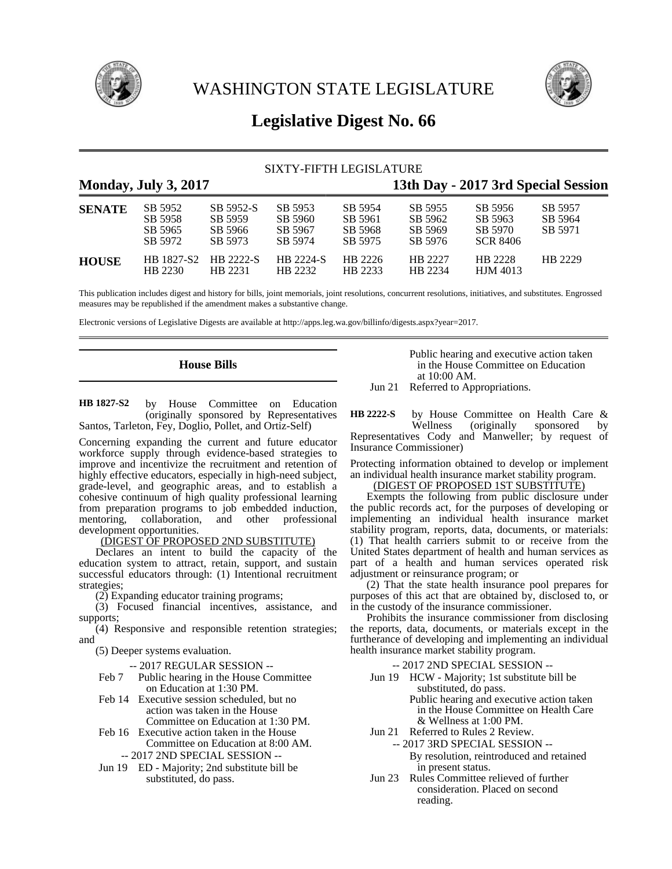

WASHINGTON STATE LEGISLATURE



# **Legislative Digest No. 66**

## SIXTY-FIFTH LEGISLATURE

## **Monday, July 3, 2017 13th Day - 2017 3rd Special Session SENATE** SB 5952 SB 5952-S SB 5953 SB 5954 SB 5955 SB 5956 SB 5957 SB 5958 SB 5959 SB 5960 SB 5961 SB 5962 SB 5963 SB 5964 SB 5965 SB 5966 SB 5967 SB 5968 SB 5969 SB 5970 SB 5971 SB 5972 SB 5973 SB 5974 SB 5975 SB 5976 SCR 8406 **HOUSE** HB 1827-S2 HB 2222-S HB 2224-S HB 2226 HB 2227 HB 2228 HB 2229 HB 2230 HB 2231 HB 2232 HB 2233 HB 2234 HJM 4013

This publication includes digest and history for bills, joint memorials, joint resolutions, concurrent resolutions, initiatives, and substitutes. Engrossed measures may be republished if the amendment makes a substantive change.

Electronic versions of Legislative Digests are available at http://apps.leg.wa.gov/billinfo/digests.aspx?year=2017.

## **House Bills**

by House Committee on Education (originally sponsored by Representatives Santos, Tarleton, Fey, Doglio, Pollet, and Ortiz-Self) **HB 1827-S2**

Concerning expanding the current and future educator workforce supply through evidence-based strategies to improve and incentivize the recruitment and retention of highly effective educators, especially in high-need subject, grade-level, and geographic areas, and to establish a cohesive continuum of high quality professional learning from preparation programs to job embedded induction, mentoring, collaboration, and other professional development opportunities.

## (DIGEST OF PROPOSED 2ND SUBSTITUTE)

Declares an intent to build the capacity of the education system to attract, retain, support, and sustain successful educators through: (1) Intentional recruitment strategies;

(2) Expanding educator training programs;

(3) Focused financial incentives, assistance, and supports;

(4) Responsive and responsible retention strategies; and

(5) Deeper systems evaluation.

-- 2017 REGULAR SESSION --

- Feb 7 Public hearing in the House Committee on Education at 1:30 PM.
- Feb 14 Executive session scheduled, but no action was taken in the House Committee on Education at 1:30 PM.
- Feb 16 Executive action taken in the House
- Committee on Education at 8:00 AM. -- 2017 2ND SPECIAL SESSION --
- Jun 19 ED Majority; 2nd substitute bill be substituted, do pass.

Public hearing and executive action taken in the House Committee on Education at 10:00 AM.

Jun 21 Referred to Appropriations.

by House Committee on Health Care & Wellness (originally sponsored by Representatives Cody and Manweller; by request of Insurance Commissioner) **HB 2222-S**

Protecting information obtained to develop or implement an individual health insurance market stability program.

## (DIGEST OF PROPOSED 1ST SUBSTITUTE)

Exempts the following from public disclosure under the public records act, for the purposes of developing or implementing an individual health insurance market stability program, reports, data, documents, or materials: (1) That health carriers submit to or receive from the United States department of health and human services as part of a health and human services operated risk adjustment or reinsurance program; or

(2) That the state health insurance pool prepares for purposes of this act that are obtained by, disclosed to, or in the custody of the insurance commissioner.

Prohibits the insurance commissioner from disclosing the reports, data, documents, or materials except in the furtherance of developing and implementing an individual health insurance market stability program.

- -- 2017 2ND SPECIAL SESSION --
- Jun 19 HCW Majority; 1st substitute bill be substituted, do pass. Public hearing and executive action taken in the House Committee on Health Care & Wellness at 1:00 PM.
- Jun 21 Referred to Rules 2 Review.
	- -- 2017 3RD SPECIAL SESSION -- By resolution, reintroduced and retained in present status.
- Jun 23 Rules Committee relieved of further consideration. Placed on second reading.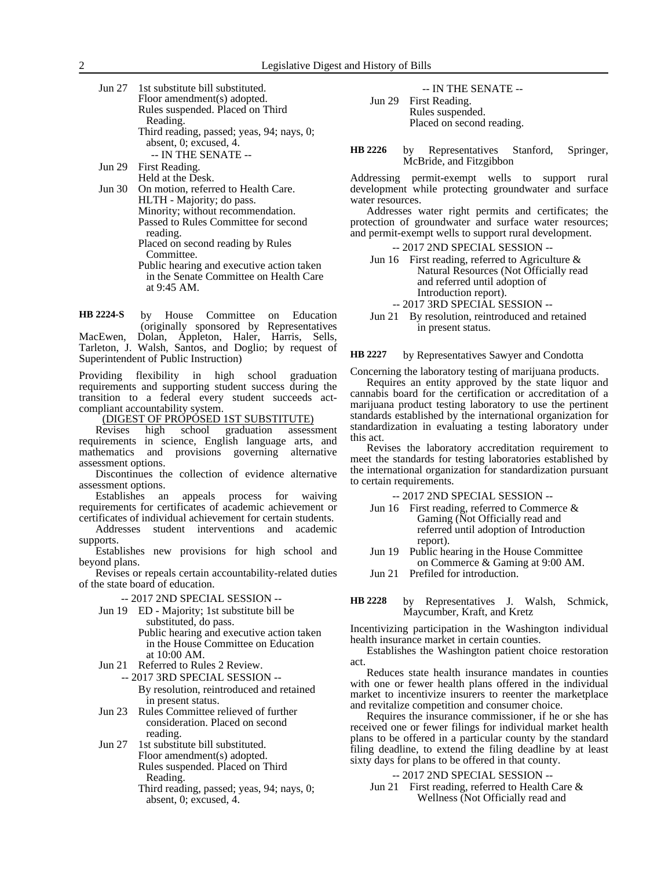Jun 27 1st substitute bill substituted. Floor amendment(s) adopted. Rules suspended. Placed on Third Reading. Third reading, passed; yeas, 94; nays, 0; absent, 0; excused, 4. -- IN THE SENATE -- Jun 29 First Reading.

Held at the Desk.

Jun 30 On motion, referred to Health Care. HLTH - Majority; do pass. Minority; without recommendation. Passed to Rules Committee for second reading. Placed on second reading by Rules Committee. Public hearing and executive action taken in the Senate Committee on Health Care at 9:45 AM.

by House Committee on Education (originally sponsored by Representatives MacEwen, Dolan, Appleton, Haler, Harris, Sells, Tarleton, J. Walsh, Santos, and Doglio; by request of Superintendent of Public Instruction) **HB 2224-S**

Providing flexibility in high school graduation requirements and supporting student success during the transition to a federal every student succeeds actcompliant accountability system.

(DIGEST OF PROPOSED 1ST SUBSTITUTE)

Revises high school graduation assessment requirements in science, English language arts, and mathematics and provisions governing alternative assessment options.

Discontinues the collection of evidence alternative assessment options.

Establishes an appeals process for waiving requirements for certificates of academic achievement or certificates of individual achievement for certain students.

Addresses student interventions and academic supports.

Establishes new provisions for high school and beyond plans.

Revises or repeals certain accountability-related duties of the state board of education.

-- 2017 2ND SPECIAL SESSION --

- Jun 19 ED Majority; 1st substitute bill be substituted, do pass. Public hearing and executive action taken in the House Committee on Education
	- at 10:00 AM.
- Jun 21 Referred to Rules 2 Review.
	- -- 2017 3RD SPECIAL SESSION -- By resolution, reintroduced and retained in present status.
- Jun 23 Rules Committee relieved of further consideration. Placed on second reading.
- Jun 27 1st substitute bill substituted. Floor amendment(s) adopted. Rules suspended. Placed on Third Reading.
	- Third reading, passed; yeas, 94; nays, 0; absent, 0; excused, 4.

-- IN THE SENATE -- Jun 29 First Reading. Rules suspended. Placed on second reading.

by Representatives Stanford, Springer, McBride, and Fitzgibbon **HB 2226**

Addressing permit-exempt wells to support rural development while protecting groundwater and surface water resources.

Addresses water right permits and certificates; the protection of groundwater and surface water resources; and permit-exempt wells to support rural development.

-- 2017 2ND SPECIAL SESSION --

- Jun 16 First reading, referred to Agriculture  $\&$ Natural Resources (Not Officially read and referred until adoption of Introduction report).
	- -- 2017 3RD SPECIAL SESSION --
- Jun 21 By resolution, reintroduced and retained in present status.

by Representatives Sawyer and Condotta **HB 2227**

Concerning the laboratory testing of marijuana products.

Requires an entity approved by the state liquor and cannabis board for the certification or accreditation of a marijuana product testing laboratory to use the pertinent standards established by the international organization for standardization in evaluating a testing laboratory under this act.

Revises the laboratory accreditation requirement to meet the standards for testing laboratories established by the international organization for standardization pursuant to certain requirements.

-- 2017 2ND SPECIAL SESSION --

- Jun 16 First reading, referred to Commerce & Gaming (Not Officially read and referred until adoption of Introduction report).
- Jun 19 Public hearing in the House Committee on Commerce & Gaming at 9:00 AM.
- Jun 21 Prefiled for introduction.
- by Representatives J. Walsh, Schmick, Maycumber, Kraft, and Kretz **HB 2228**

Incentivizing participation in the Washington individual health insurance market in certain counties.

Establishes the Washington patient choice restoration act.

Reduces state health insurance mandates in counties with one or fewer health plans offered in the individual market to incentivize insurers to reenter the marketplace and revitalize competition and consumer choice.

Requires the insurance commissioner, if he or she has received one or fewer filings for individual market health plans to be offered in a particular county by the standard filing deadline, to extend the filing deadline by at least sixty days for plans to be offered in that county.

-- 2017 2ND SPECIAL SESSION --

Jun 21 First reading, referred to Health Care & Wellness (Not Officially read and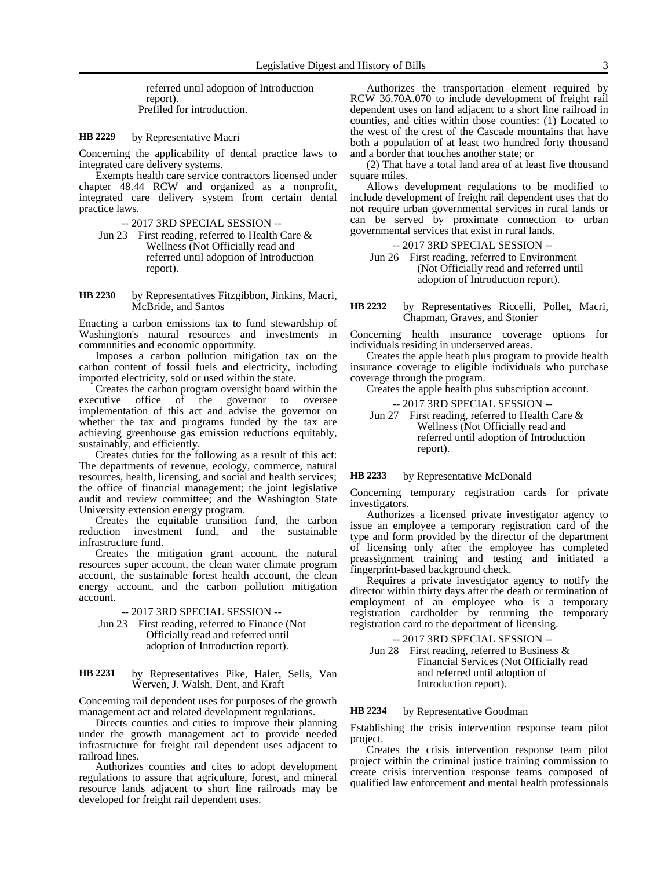referred until adoption of Introduction report). Prefiled for introduction.

#### by Representative Macri **HB 2229**

Concerning the applicability of dental practice laws to integrated care delivery systems.

Exempts health care service contractors licensed under chapter 48.44 RCW and organized as a nonprofit, integrated care delivery system from certain dental practice laws.

-- 2017 3RD SPECIAL SESSION --

Jun 23 First reading, referred to Health Care & Wellness (Not Officially read and referred until adoption of Introduction report).

by Representatives Fitzgibbon, Jinkins, Macri, McBride, and Santos **HB 2230**

Enacting a carbon emissions tax to fund stewardship of Washington's natural resources and investments in communities and economic opportunity.

Imposes a carbon pollution mitigation tax on the carbon content of fossil fuels and electricity, including imported electricity, sold or used within the state.

Creates the carbon program oversight board within the executive office of the governor to oversee implementation of this act and advise the governor on whether the tax and programs funded by the tax are achieving greenhouse gas emission reductions equitably, sustainably, and efficiently.

Creates duties for the following as a result of this act: The departments of revenue, ecology, commerce, natural resources, health, licensing, and social and health services; the office of financial management; the joint legislative audit and review committee; and the Washington State University extension energy program.

Creates the equitable transition fund, the carbon reduction investment fund, and the sustainable infrastructure fund.

Creates the mitigation grant account, the natural resources super account, the clean water climate program account, the sustainable forest health account, the clean energy account, and the carbon pollution mitigation account.

-- 2017 3RD SPECIAL SESSION --

- Jun 23 First reading, referred to Finance (Not Officially read and referred until adoption of Introduction report).
- by Representatives Pike, Haler, Sells, Van Werven, J. Walsh, Dent, and Kraft **HB 2231**

Concerning rail dependent uses for purposes of the growth management act and related development regulations.

Directs counties and cities to improve their planning under the growth management act to provide needed infrastructure for freight rail dependent uses adjacent to railroad lines.

Authorizes counties and cites to adopt development regulations to assure that agriculture, forest, and mineral resource lands adjacent to short line railroads may be developed for freight rail dependent uses.

Authorizes the transportation element required by RCW 36.70A.070 to include development of freight rail dependent uses on land adjacent to a short line railroad in counties, and cities within those counties: (1) Located to the west of the crest of the Cascade mountains that have both a population of at least two hundred forty thousand and a border that touches another state; or

(2) That have a total land area of at least five thousand square miles.

Allows development regulations to be modified to include development of freight rail dependent uses that do not require urban governmental services in rural lands or can be served by proximate connection to urban governmental services that exist in rural lands.

-- 2017 3RD SPECIAL SESSION --

Jun 26 First reading, referred to Environment (Not Officially read and referred until adoption of Introduction report).

by Representatives Riccelli, Pollet, Macri, Chapman, Graves, and Stonier **HB 2232**

Concerning health insurance coverage options for individuals residing in underserved areas.

Creates the apple heath plus program to provide health insurance coverage to eligible individuals who purchase coverage through the program.

Creates the apple health plus subscription account.

- -- 2017 3RD SPECIAL SESSION --
- Jun 27 First reading, referred to Health Care & Wellness (Not Officially read and referred until adoption of Introduction report).

#### by Representative McDonald **HB 2233**

Concerning temporary registration cards for private investigators.

Authorizes a licensed private investigator agency to issue an employee a temporary registration card of the type and form provided by the director of the department of licensing only after the employee has completed preassignment training and testing and initiated a fingerprint-based background check.

Requires a private investigator agency to notify the director within thirty days after the death or termination of employment of an employee who is a temporary registration cardholder by returning the temporary registration card to the department of licensing.

-- 2017 3RD SPECIAL SESSION --

Jun 28 First reading, referred to Business & Financial Services (Not Officially read and referred until adoption of Introduction report).

#### by Representative Goodman **HB 2234**

Establishing the crisis intervention response team pilot project.

Creates the crisis intervention response team pilot project within the criminal justice training commission to create crisis intervention response teams composed of qualified law enforcement and mental health professionals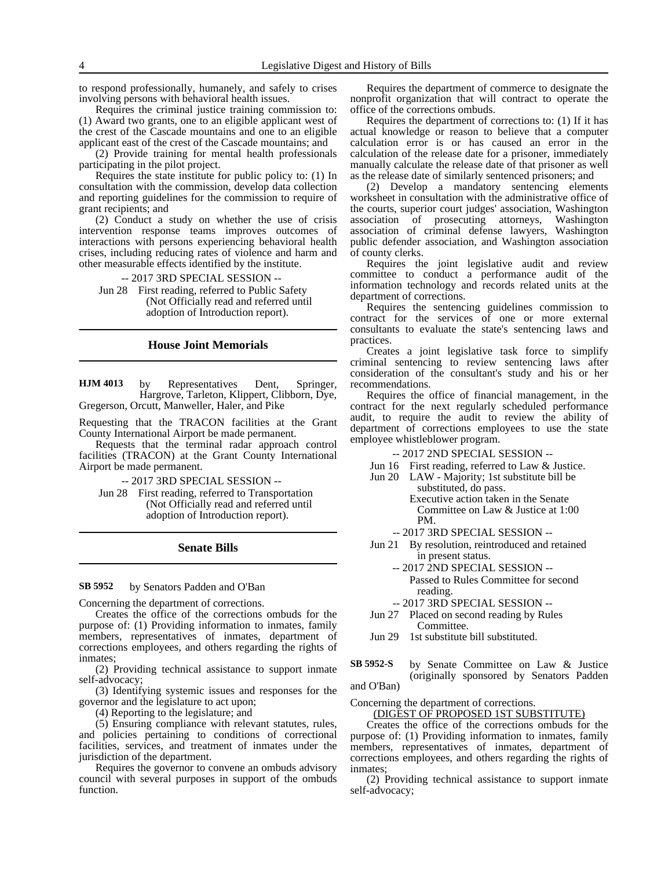to respond professionally, humanely, and safely to crises involving persons with behavioral health issues.

Requires the criminal justice training commission to: (1) Award two grants, one to an eligible applicant west of the crest of the Cascade mountains and one to an eligible applicant east of the crest of the Cascade mountains; and

(2) Provide training for mental health professionals participating in the pilot project.

Requires the state institute for public policy to: (1) In consultation with the commission, develop data collection and reporting guidelines for the commission to require of grant recipients; and

(2) Conduct a study on whether the use of crisis intervention response teams improves outcomes of interactions with persons experiencing behavioral health crises, including reducing rates of violence and harm and other measurable effects identified by the institute.

-- 2017 3RD SPECIAL SESSION -- Jun 28 First reading, referred to Public Safety

(Not Officially read and referred until adoption of Introduction report).

## **House Joint Memorials**

by Representatives Dent, Springer, Hargrove, Tarleton, Klippert, Clibborn, Dye, Gregerson, Orcutt, Manweller, Haler, and Pike **HJM 4013**

Requesting that the TRACON facilities at the Grant County International Airport be made permanent.

Requests that the terminal radar approach control facilities (TRACON) at the Grant County International Airport be made permanent.

-- 2017 3RD SPECIAL SESSION --

Jun 28 First reading, referred to Transportation (Not Officially read and referred until adoption of Introduction report).

## **Senate Bills**

by Senators Padden and O'Ban **SB 5952**

Concerning the department of corrections.

Creates the office of the corrections ombuds for the purpose of: (1) Providing information to inmates, family members, representatives of inmates, department of corrections employees, and others regarding the rights of inmates;

(2) Providing technical assistance to support inmate self-advocacy;

(3) Identifying systemic issues and responses for the governor and the legislature to act upon;

(4) Reporting to the legislature; and

(5) Ensuring compliance with relevant statutes, rules, and policies pertaining to conditions of correctional facilities, services, and treatment of inmates under the jurisdiction of the department.

Requires the governor to convene an ombuds advisory council with several purposes in support of the ombuds function.

Requires the department of commerce to designate the nonprofit organization that will contract to operate the office of the corrections ombuds.

Requires the department of corrections to: (1) If it has actual knowledge or reason to believe that a computer calculation error is or has caused an error in the calculation of the release date for a prisoner, immediately manually calculate the release date of that prisoner as well as the release date of similarly sentenced prisoners; and

(2) Develop a mandatory sentencing elements worksheet in consultation with the administrative office of the courts, superior court judges' association, Washington association of prosecuting attorneys, Washington association of criminal defense lawyers, Washington public defender association, and Washington association of county clerks.

Requires the joint legislative audit and review committee to conduct a performance audit of the information technology and records related units at the department of corrections.

Requires the sentencing guidelines commission to contract for the services of one or more external consultants to evaluate the state's sentencing laws and practices.

Creates a joint legislative task force to simplify criminal sentencing to review sentencing laws after consideration of the consultant's study and his or her recommendations.

Requires the office of financial management, in the contract for the next regularly scheduled performance audit, to require the audit to review the ability of department of corrections employees to use the state employee whistleblower program.

-- 2017 2ND SPECIAL SESSION --

- Jun 16 First reading, referred to Law & Justice.
- Jun 20 LAW Majority; 1st substitute bill be substituted, do pass. Executive action taken in the Senate Committee on Law & Justice at 1:00
	- PM. -- 2017 3RD SPECIAL SESSION --
- Jun 21 By resolution, reintroduced and retained in present status.
	- -- 2017 2ND SPECIAL SESSION --
		- Passed to Rules Committee for second reading.
	- -- 2017 3RD SPECIAL SESSION --
- Jun 27 Placed on second reading by Rules Committee.

by Senate Committee on Law & Justice (originally sponsored by Senators Padden **SB 5952-S**

and O'Ban)

Concerning the department of corrections.

(DIGEST OF PROPOSED 1ST SUBSTITUTE)

Creates the office of the corrections ombuds for the purpose of: (1) Providing information to inmates, family members, representatives of inmates, department of corrections employees, and others regarding the rights of inmates;

(2) Providing technical assistance to support inmate self-advocacy;

Jun 29 1st substitute bill substituted.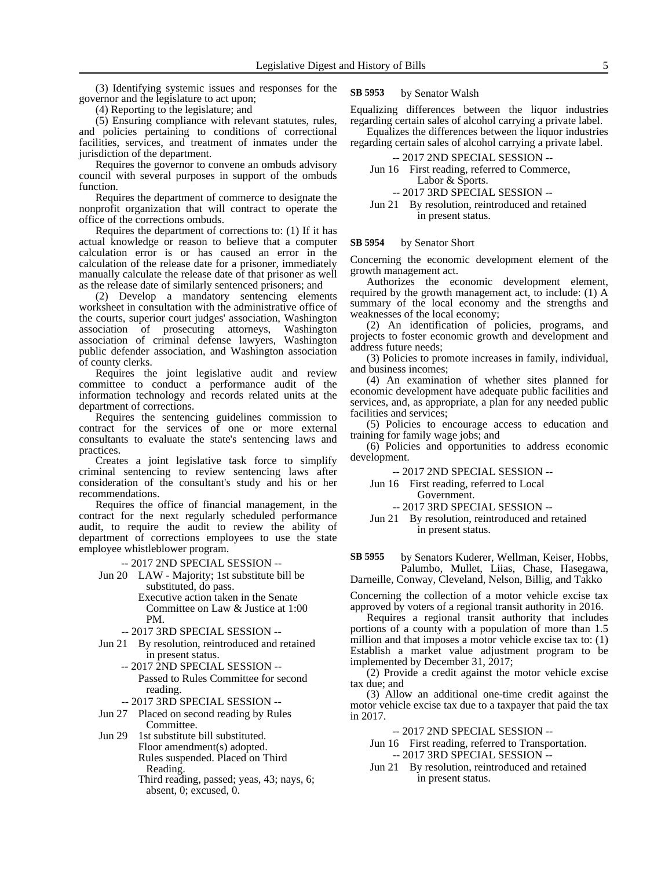(3) Identifying systemic issues and responses for the governor and the legislature to act upon;

(4) Reporting to the legislature; and

(5) Ensuring compliance with relevant statutes, rules, and policies pertaining to conditions of correctional facilities, services, and treatment of inmates under the jurisdiction of the department.

Requires the governor to convene an ombuds advisory council with several purposes in support of the ombuds function.

Requires the department of commerce to designate the nonprofit organization that will contract to operate the office of the corrections ombuds.

Requires the department of corrections to: (1) If it has actual knowledge or reason to believe that a computer calculation error is or has caused an error in the calculation of the release date for a prisoner, immediately manually calculate the release date of that prisoner as well as the release date of similarly sentenced prisoners; and

(2) Develop a mandatory sentencing elements worksheet in consultation with the administrative office of the courts, superior court judges' association, Washington association of prosecuting attorneys, Washington association of criminal defense lawyers, Washington public defender association, and Washington association of county clerks.

Requires the joint legislative audit and review committee to conduct a performance audit of the information technology and records related units at the department of corrections.

Requires the sentencing guidelines commission to contract for the services of one or more external consultants to evaluate the state's sentencing laws and practices.

Creates a joint legislative task force to simplify criminal sentencing to review sentencing laws after consideration of the consultant's study and his or her recommendations.

Requires the office of financial management, in the contract for the next regularly scheduled performance audit, to require the audit to review the ability of department of corrections employees to use the state employee whistleblower program.

-- 2017 2ND SPECIAL SESSION --

- Jun 20 LAW Majority; 1st substitute bill be substituted, do pass.
	- Executive action taken in the Senate Committee on Law & Justice at 1:00 PM.
	- -- 2017 3RD SPECIAL SESSION --
- Jun 21 By resolution, reintroduced and retained in present status.
	- -- 2017 2ND SPECIAL SESSION -- Passed to Rules Committee for second reading.
	- -- 2017 3RD SPECIAL SESSION --
- Jun 27 Placed on second reading by Rules Committee.
- Jun 29 1st substitute bill substituted. Floor amendment(s) adopted. Rules suspended. Placed on Third Reading.
	- Third reading, passed; yeas, 43; nays, 6; absent, 0; excused, 0.

#### by Senator Walsh **SB 5953**

Equalizing differences between the liquor industries regarding certain sales of alcohol carrying a private label.

Equalizes the differences between the liquor industries regarding certain sales of alcohol carrying a private label.

- -- 2017 2ND SPECIAL SESSION --
- Jun 16 First reading, referred to Commerce, Labor & Sports.
	- -- 2017 3RD SPECIAL SESSION --
- Jun 21 By resolution, reintroduced and retained in present status.

#### by Senator Short **SB 5954**

Concerning the economic development element of the growth management act.

Authorizes the economic development element, required by the growth management act, to include: (1) A summary of the local economy and the strengths and weaknesses of the local economy;

(2) An identification of policies, programs, and projects to foster economic growth and development and address future needs;

(3) Policies to promote increases in family, individual, and business incomes;

(4) An examination of whether sites planned for economic development have adequate public facilities and services, and, as appropriate, a plan for any needed public facilities and services;

(5) Policies to encourage access to education and training for family wage jobs; and

(6) Policies and opportunities to address economic development.

-- 2017 2ND SPECIAL SESSION --

- Jun 16 First reading, referred to Local
	- Government. -- 2017 3RD SPECIAL SESSION --
- Jun 21 By resolution, reintroduced and retained in present status.

by Senators Kuderer, Wellman, Keiser, Hobbs, Palumbo, Mullet, Liias, Chase, Hasegawa, Darneille, Conway, Cleveland, Nelson, Billig, and Takko **SB 5955**

Concerning the collection of a motor vehicle excise tax approved by voters of a regional transit authority in 2016.

Requires a regional transit authority that includes portions of a county with a population of more than 1.5 million and that imposes a motor vehicle excise tax to: (1) Establish a market value adjustment program to be implemented by December 31, 2017;

(2) Provide a credit against the motor vehicle excise tax due; and

(3) Allow an additional one-time credit against the motor vehicle excise tax due to a taxpayer that paid the tax in 2017.

-- 2017 2ND SPECIAL SESSION --

- Jun 16 First reading, referred to Transportation. -- 2017 3RD SPECIAL SESSION --
- Jun 21 By resolution, reintroduced and retained in present status.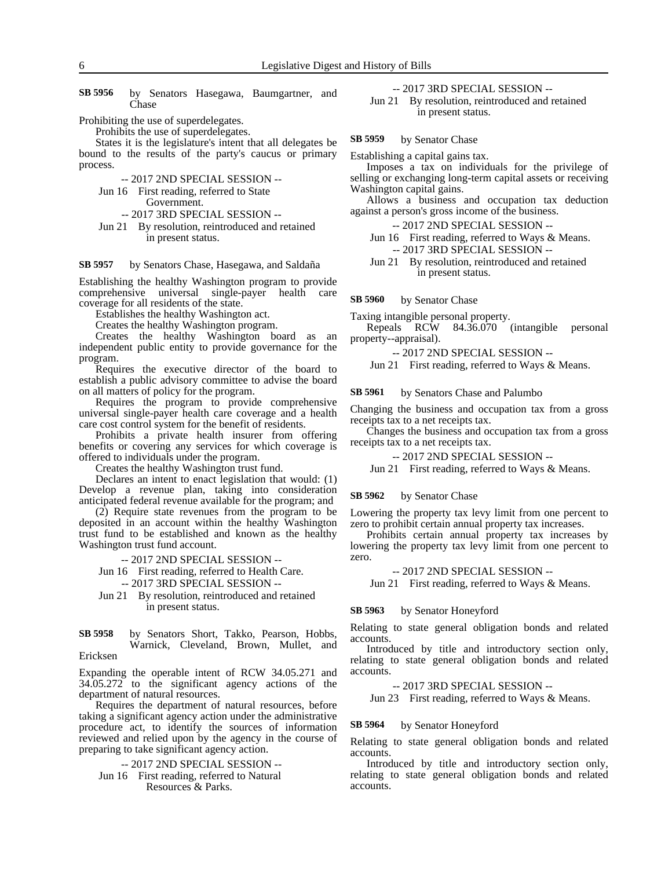by Senators Hasegawa, Baumgartner, and Chase **SB 5956**

Prohibiting the use of superdelegates.

Prohibits the use of superdelegates.

States it is the legislature's intent that all delegates be bound to the results of the party's caucus or primary process.

- -- 2017 2ND SPECIAL SESSION --
- Jun 16 First reading, referred to State Government.

-- 2017 3RD SPECIAL SESSION --

Jun 21 By resolution, reintroduced and retained in present status.

by Senators Chase, Hasegawa, and Saldaña **SB 5957**

Establishing the healthy Washington program to provide comprehensive universal single-payer health care coverage for all residents of the state.

Establishes the healthy Washington act.

Creates the healthy Washington program.

Creates the healthy Washington board as an independent public entity to provide governance for the program.

Requires the executive director of the board to establish a public advisory committee to advise the board on all matters of policy for the program.

Requires the program to provide comprehensive universal single-payer health care coverage and a health care cost control system for the benefit of residents.

Prohibits a private health insurer from offering benefits or covering any services for which coverage is offered to individuals under the program.

Creates the healthy Washington trust fund.

Declares an intent to enact legislation that would: (1) Develop a revenue plan, taking into consideration anticipated federal revenue available for the program; and

(2) Require state revenues from the program to be deposited in an account within the healthy Washington trust fund to be established and known as the healthy Washington trust fund account.

-- 2017 2ND SPECIAL SESSION --

Jun 16 First reading, referred to Health Care.

-- 2017 3RD SPECIAL SESSION --

Jun 21 By resolution, reintroduced and retained in present status.

#### by Senators Short, Takko, Pearson, Hobbs, Warnick, Cleveland, Brown, Mullet, and Ericksen **SB 5958**

Expanding the operable intent of RCW 34.05.271 and 34.05.272 to the significant agency actions of the department of natural resources.

Requires the department of natural resources, before taking a significant agency action under the administrative procedure act, to identify the sources of information reviewed and relied upon by the agency in the course of preparing to take significant agency action.

-- 2017 2ND SPECIAL SESSION --

Jun 16 First reading, referred to Natural Resources & Parks.

## -- 2017 3RD SPECIAL SESSION --

Jun 21 By resolution, reintroduced and retained in present status.

by Senator Chase **SB 5959**

Establishing a capital gains tax.

Imposes a tax on individuals for the privilege of selling or exchanging long-term capital assets or receiving Washington capital gains.

Allows a business and occupation tax deduction against a person's gross income of the business.

-- 2017 2ND SPECIAL SESSION --

- Jun 16 First reading, referred to Ways & Means. -- 2017 3RD SPECIAL SESSION --
- Jun 21 By resolution, reintroduced and retained in present status.

by Senator Chase **SB 5960**

Taxing intangible personal property.

Repeals RCW 84.36.070 (intangible personal property--appraisal).

-- 2017 2ND SPECIAL SESSION --

Jun 21 First reading, referred to Ways & Means.

by Senators Chase and Palumbo **SB 5961**

Changing the business and occupation tax from a gross receipts tax to a net receipts tax.

Changes the business and occupation tax from a gross receipts tax to a net receipts tax.

-- 2017 2ND SPECIAL SESSION --

Jun 21 First reading, referred to Ways & Means.

#### by Senator Chase **SB 5962**

Lowering the property tax levy limit from one percent to zero to prohibit certain annual property tax increases.

Prohibits certain annual property tax increases by lowering the property tax levy limit from one percent to zero.

-- 2017 2ND SPECIAL SESSION --

Jun 21 First reading, referred to Ways & Means.

by Senator Honeyford **SB 5963**

Relating to state general obligation bonds and related accounts.

Introduced by title and introductory section only, relating to state general obligation bonds and related accounts.

-- 2017 3RD SPECIAL SESSION --

Jun 23 First reading, referred to Ways & Means.

#### by Senator Honeyford **SB 5964**

Relating to state general obligation bonds and related accounts.

Introduced by title and introductory section only, relating to state general obligation bonds and related accounts.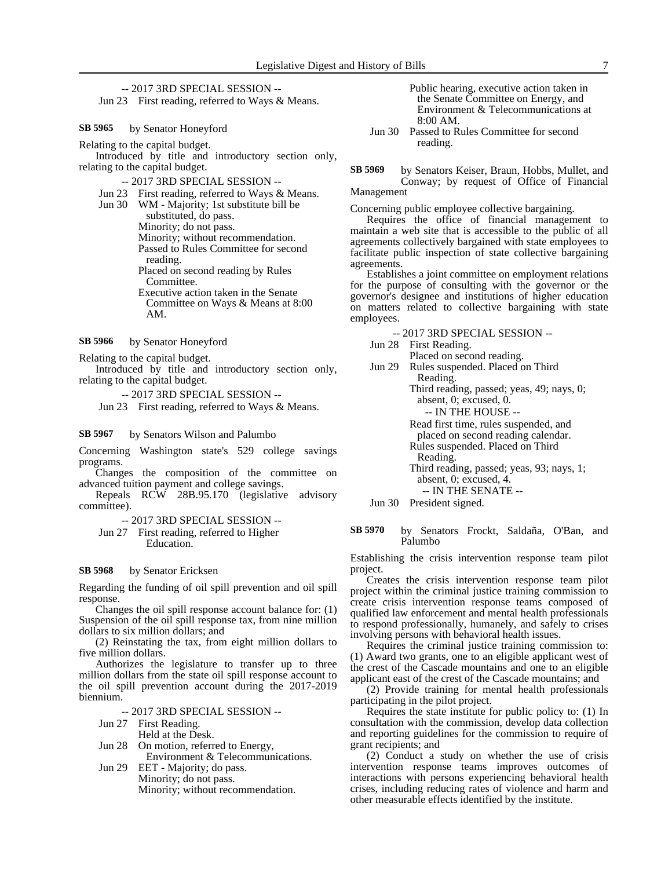-- 2017 3RD SPECIAL SESSION -- Jun 23 First reading, referred to Ways & Means.

by Senator Honeyford **SB 5965**

Relating to the capital budget.

Introduced by title and introductory section only, relating to the capital budget.

-- 2017 3RD SPECIAL SESSION --

Jun 23 First reading, referred to Ways & Means.

Jun 30 WM - Majority; 1st substitute bill be substituted, do pass. Minority; do not pass. Minority; without recommendation. Passed to Rules Committee for second reading. Placed on second reading by Rules Committee. Executive action taken in the Senate Committee on Ways & Means at 8:00 AM.

by Senator Honeyford **SB 5966**

Relating to the capital budget.

Introduced by title and introductory section only, relating to the capital budget.

-- 2017 3RD SPECIAL SESSION --

Jun 23 First reading, referred to Ways & Means.

#### by Senators Wilson and Palumbo **SB 5967**

Concerning Washington state's 529 college savings programs.

Changes the composition of the committee on advanced tuition payment and college savings.

Repeals RCW 28B.95.170 (legislative advisory committee).

-- 2017 3RD SPECIAL SESSION --

Jun 27 First reading, referred to Higher Education.

#### by Senator Ericksen **SB 5968**

Regarding the funding of oil spill prevention and oil spill response.

Changes the oil spill response account balance for: (1) Suspension of the oil spill response tax, from nine million dollars to six million dollars; and

(2) Reinstating the tax, from eight million dollars to five million dollars.

Authorizes the legislature to transfer up to three million dollars from the state oil spill response account to the oil spill prevention account during the 2017-2019 biennium.

- -- 2017 3RD SPECIAL SESSION --
- Jun 27 First Reading.
	- Held at the Desk.

Jun 28 On motion, referred to Energy, Environment & Telecommunications.

Jun 29 EET - Majority; do pass. Minority; do not pass. Minority; without recommendation.

- Public hearing, executive action taken in the Senate Committee on Energy, and Environment & Telecommunications at 8:00 AM.
- Jun 30 Passed to Rules Committee for second reading.

by Senators Keiser, Braun, Hobbs, Mullet, and Conway; by request of Office of Financial Management **SB 5969**

Concerning public employee collective bargaining.

Requires the office of financial management to maintain a web site that is accessible to the public of all agreements collectively bargained with state employees to facilitate public inspection of state collective bargaining agreements.

Establishes a joint committee on employment relations for the purpose of consulting with the governor or the governor's designee and institutions of higher education on matters related to collective bargaining with state employees.

-- 2017 3RD SPECIAL SESSION --

Jun 28 First Reading.

Placed on second reading.

Jun 29 Rules suspended. Placed on Third Reading.

> Third reading, passed; yeas, 49; nays, 0; absent, 0; excused, 0.

- -- IN THE HOUSE --
- Read first time, rules suspended, and
- placed on second reading calendar.
- Rules suspended. Placed on Third
- Reading.

Third reading, passed; yeas, 93; nays, 1; absent, 0; excused, 4.

-- IN THE SENATE --

Jun 30 President signed.

by Senators Frockt, Saldaña, O'Ban, and Palumbo **SB 5970**

Establishing the crisis intervention response team pilot project.

Creates the crisis intervention response team pilot project within the criminal justice training commission to create crisis intervention response teams composed of qualified law enforcement and mental health professionals to respond professionally, humanely, and safely to crises involving persons with behavioral health issues.

Requires the criminal justice training commission to: (1) Award two grants, one to an eligible applicant west of the crest of the Cascade mountains and one to an eligible applicant east of the crest of the Cascade mountains; and

(2) Provide training for mental health professionals participating in the pilot project.

Requires the state institute for public policy to: (1) In consultation with the commission, develop data collection and reporting guidelines for the commission to require of grant recipients; and

(2) Conduct a study on whether the use of crisis intervention response teams improves outcomes of interactions with persons experiencing behavioral health crises, including reducing rates of violence and harm and other measurable effects identified by the institute.